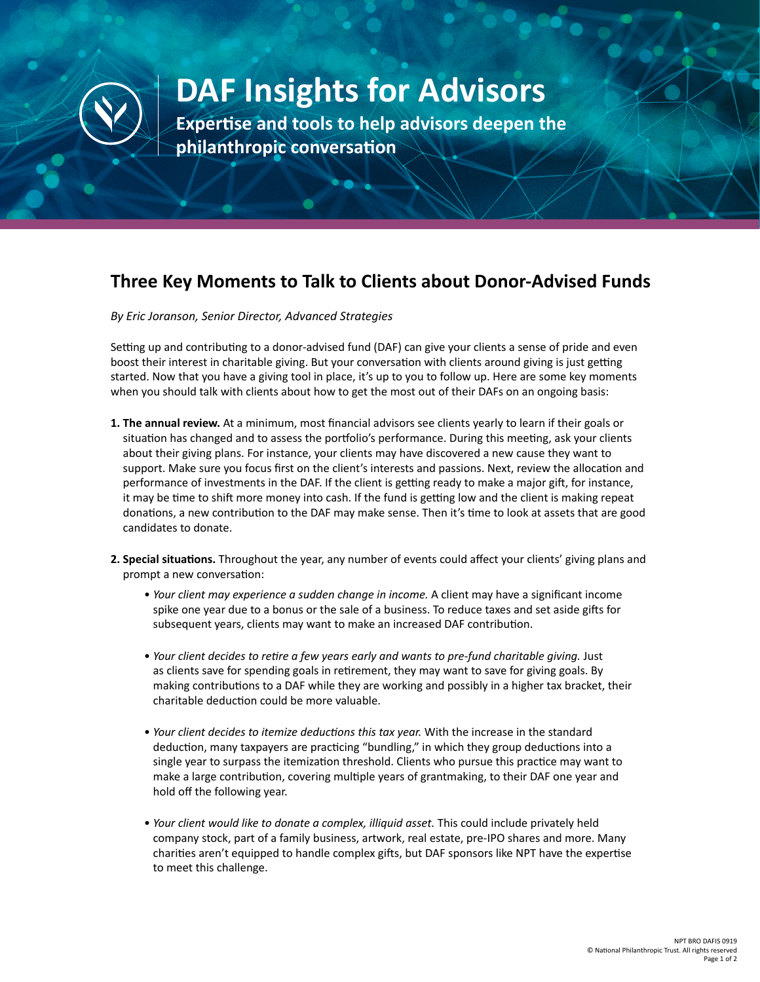

## **DAF Insights for Advisors**

**Expertise and tools to help advisors deepen the philanthropic conversation**

## **Three Key Moments to Talk to Clients about Donor-Advised Funds**

*By Eric Joranson, Senior Director, Advanced Strategies*

Setting up and contributing to a donor-advised fund (DAF) can give your clients a sense of pride and even boost their interest in charitable giving. But your conversation with clients around giving is just getting started. Now that you have a giving tool in place, it's up to you to follow up. Here are some key moments when you should talk with clients about how to get the most out of their DAFs on an ongoing basis:

- **1. The annual review.** At a minimum, most financial advisors see clients yearly to learn if their goals or situation has changed and to assess the portfolio's performance. During this meeting, ask your clients about their giving plans. For instance, your clients may have discovered a new cause they want to support. Make sure you focus first on the client's interests and passions. Next, review the allocation and performance of investments in the DAF. If the client is getting ready to make a major gift, for instance, it may be time to shift more money into cash. If the fund is getting low and the client is making repeat donations, a new contribution to the DAF may make sense. Then it's time to look at assets that are good candidates to donate.
- **2. Special situations.** Throughout the year, any number of events could affect your clients' giving plans and prompt a new conversation:
	- *Your client may experience a sudden change in income.* A client may have a significant income spike one year due to a bonus or the sale of a business. To reduce taxes and set aside gifts for subsequent years, clients may want to make an increased DAF contribution.
	- *Your client decides to retire a few years early and wants to pre-fund charitable giving.* Just as clients save for spending goals in retirement, they may want to save for giving goals. By making contributions to a DAF while they are working and possibly in a higher tax bracket, their charitable deduction could be more valuable.
	- *Your client decides to itemize deductions this tax year.* With the increase in the standard deduction, many taxpayers are practicing "bundling," in which they group deductions into a single year to surpass the itemization threshold. Clients who pursue this practice may want to make a large contribution, covering multiple years of grantmaking, to their DAF one year and hold off the following year.
	- *Your client would like to donate a complex, illiquid asset.* This could include privately held company stock, part of a family business, artwork, real estate, pre-IPO shares and more. Many charities aren't equipped to handle complex gifts, but DAF sponsors like NPT have the expertise to meet this challenge.